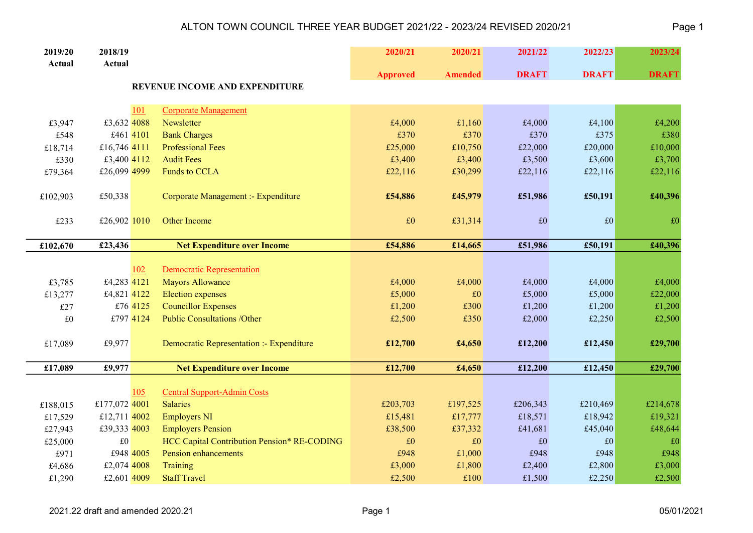| 2019/20     | 2018/19       |          |                                             | 2020/21         | 2020/21        | 2021/22      | 2022/23      | 2023/24      |
|-------------|---------------|----------|---------------------------------------------|-----------------|----------------|--------------|--------------|--------------|
| Actual      | Actual        |          |                                             | <b>Approved</b> | <b>Amended</b> | <b>DRAFT</b> | <b>DRAFT</b> | <b>DRAFT</b> |
|             |               |          | REVENUE INCOME AND EXPENDITURE              |                 |                |              |              |              |
|             |               | 101      | <b>Corporate Management</b>                 |                 |                |              |              |              |
| £3,947      | £3,632 4088   |          | Newsletter                                  | £4,000          | £1,160         | £4,000       | £4,100       | £4,200       |
| £548        | £461 4101     |          | <b>Bank Charges</b>                         | £370            | £370           | £370         | £375         | £380         |
| £18,714     | £16,746 4111  |          | <b>Professional Fees</b>                    | £25,000         | £10,750        | £22,000      | £20,000      | £10,000      |
| £330        | £3,400 4112   |          | <b>Audit Fees</b>                           | £3,400          | £3,400         | £3,500       | £3,600       | £3,700       |
| £79,364     | £26,099 4999  |          | <b>Funds to CCLA</b>                        | £22,116         | £30,299        | £22,116      | £22,116      | £22,116      |
|             |               |          |                                             |                 |                |              |              |              |
| £102,903    | £50,338       |          | Corporate Management :- Expenditure         | £54,886         | £45,979        | £51,986      | £50,191      | £40,396      |
|             |               |          |                                             |                 |                |              |              |              |
| £233        | £26,902 1010  |          | Other Income                                | £0              | £31,314        | $\pounds 0$  | £0           | $\pounds 0$  |
|             |               |          |                                             |                 |                |              |              |              |
| £102,670    | £23,436       |          | <b>Net Expenditure over Income</b>          | £54,886         | £14,665        | £51,986      | £50,191      | £40,396      |
|             |               |          |                                             |                 |                |              |              |              |
|             |               | 102      | Democratic Representation                   |                 |                |              |              |              |
| £3,785      | £4,283 4121   |          | <b>Mayors Allowance</b>                     | £4,000          | £4,000         | £4,000       | £4,000       | £4,000       |
| £13,277     | £4,821 4122   |          | <b>Election</b> expenses                    | £5,000          | £0             | £5,000       | £5,000       | £22,000      |
| £27         |               | £76 4125 | <b>Councillor Expenses</b>                  | £1,200          | £300           | £1,200       | £1,200       | £1,200       |
| $\pounds 0$ | £797 4124     |          | <b>Public Consultations /Other</b>          | £2,500          | £350           | £2,000       | £2,250       | £2,500       |
|             |               |          |                                             |                 |                |              |              |              |
| £17,089     | £9,977        |          | Democratic Representation :- Expenditure    | £12,700         | £4,650         | £12,200      | £12,450      | £29,700      |
|             |               |          |                                             |                 |                |              |              |              |
| £17,089     | £9,977        |          | <b>Net Expenditure over Income</b>          | £12,700         | £4,650         | £12,200      | £12,450      | £29,700      |
|             |               | 105      | <b>Central Support-Admin Costs</b>          |                 |                |              |              |              |
| £188,015    | £177,072 4001 |          | <b>Salaries</b>                             | £203,703        | £197,525       | £206,343     | £210,469     | £214,678     |
| £17,529     | £12,711 4002  |          | <b>Employers NI</b>                         | £15,481         | £17,777        | £18,571      | £18,942      | £19,321      |
| £27,943     | £39,333 4003  |          | <b>Employers Pension</b>                    | £38,500         | £37,332        | £41,681      | £45,040      | £48,644      |
| £25,000     | $\pounds 0$   |          | HCC Capital Contribution Pension* RE-CODING | £0              | £0             | £0           | £0           | £0           |
| £971        | £948 4005     |          | Pension enhancements                        | £948            | £1,000         | £948         | £948         | £948         |
| £4,686      | £2,074 4008   |          | Training                                    | £3,000          | £1,800         | £2,400       | £2,800       | £3,000       |
| £1,290      | £2,601 4009   |          | <b>Staff Travel</b>                         | £2,500          | £100           | £1,500       | £2,250       | £2,500       |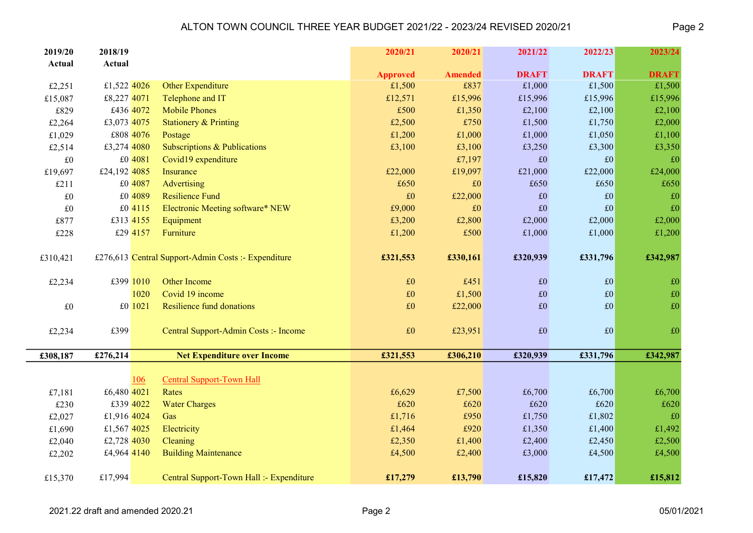| 2019/20     | 2018/19      |                                                     | 2020/21                   | 2020/21                | 2021/22                | 2022/23                | 2023/24                |
|-------------|--------------|-----------------------------------------------------|---------------------------|------------------------|------------------------|------------------------|------------------------|
| Actual      | Actual       |                                                     |                           |                        |                        |                        |                        |
| £2,251      | £1,522 4026  | <b>Other Expenditure</b>                            | <b>Approved</b><br>£1,500 | <b>Amended</b><br>£837 | <b>DRAFT</b><br>£1,000 | <b>DRAFT</b><br>£1,500 | <b>DRAFT</b><br>£1,500 |
| £15,087     | £8,227 4071  | Telephone and IT                                    | £12,571                   | £15,996                | £15,996                | £15,996                | £15,996                |
| £829        | £436 4072    | <b>Mobile Phones</b>                                | £500                      | £1,350                 | £2,100                 | £2,100                 | £2,100                 |
| £2,264      | £3,073 4075  | <b>Stationery &amp; Printing</b>                    | £2,500                    | £750                   | £1,500                 | £1,750                 | £2,000                 |
| £1,029      | £808 4076    | Postage                                             | £1,200                    | £1,000                 | £1,000                 | £1,050                 | £1,100                 |
| £2,514      | £3,274 4080  | Subscriptions & Publications                        | £3,100                    | £3,100                 | £3,250                 | £3,300                 | £3,350                 |
| $\pounds 0$ | £0 4081      | Covid19 expenditure                                 |                           | £7,197                 | $\pounds 0$            | £0                     | £0                     |
| £19,697     | £24,192 4085 | Insurance                                           | £22,000                   | £19,097                | £21,000                | £22,000                | £24,000                |
| £211        | £0 4087      | <b>Advertising</b>                                  | £650                      | £0                     | £650                   | £650                   | £650                   |
| $\pounds 0$ | £0 4089      | <b>Resilience Fund</b>                              | $\pounds 0$               | £22,000                | $\pounds 0$            | £0                     | $\pounds 0$            |
| $\pounds 0$ | £0 4115      | Electronic Meeting software* NEW                    | £9,000                    | £0                     | $\pounds 0$            | £0                     | $\pounds 0$            |
| £877        | £313 4155    | Equipment                                           | £3,200                    | £2,800                 | £2,000                 | £2,000                 | £2,000                 |
| £228        | £29 4157     | Furniture                                           | £1,200                    | £500                   | £1,000                 | £1,000                 | £1,200                 |
|             |              |                                                     |                           |                        |                        |                        |                        |
| £310,421    |              | £276,613 Central Support-Admin Costs :- Expenditure | £321,553                  | £330,161               | £320,939               | £331,796               | £342,987               |
|             |              |                                                     |                           |                        |                        |                        |                        |
| £2,234      | £399 1010    | <b>Other Income</b>                                 | £0                        | £451                   | $\pounds 0$            | £0                     | $\pounds 0$            |
|             | 1020         | Covid 19 income                                     | $\pounds 0$               | £1,500                 | $\pounds 0$            | $\pounds 0$            | $\pounds 0$            |
| $\pounds 0$ | £0 1021      | <b>Resilience fund donations</b>                    | $\pounds 0$               | £22,000                | £0                     | $\pounds 0$            | $\pounds 0$            |
|             |              |                                                     |                           |                        |                        |                        |                        |
| £2,234      | £399         | Central Support-Admin Costs :- Income               | £0                        | £23,951                | $\pounds 0$            | £0                     | £0                     |
| £308,187    | £276,214     | <b>Net Expenditure over Income</b>                  | £321,553                  | £306,210               | £320,939               | £331,796               | £342,987               |
|             |              |                                                     |                           |                        |                        |                        |                        |
|             | <u>106</u>   | <b>Central Support-Town Hall</b>                    |                           |                        |                        |                        |                        |
| £7,181      | £6,480 4021  | Rates                                               | £6,629                    | £7,500                 | £6,700                 | £6,700                 | £6,700                 |
| £230        | £339 4022    | <b>Water Charges</b>                                | £620                      | £620                   | £620                   | £620                   | £620                   |
| £2,027      | £1,916 4024  | Gas                                                 | £1,716                    | £950                   | £1,750                 | £1,802                 | £0                     |
| £1,690      | £1,567 4025  | Electricity                                         | £1,464                    | £920                   | £1,350                 | £1,400                 | £1,492                 |
| £2,040      | £2,728 4030  | Cleaning                                            | £2,350                    | £1,400                 | £2,400                 | £2,450                 | £2,500                 |
| £2,202      | £4,964 4140  | <b>Building Maintenance</b>                         | £4,500                    | £2,400                 | £3,000                 | £4,500                 | £4,500                 |
|             |              |                                                     |                           |                        |                        |                        |                        |
| £15,370     | £17,994      | Central Support-Town Hall :- Expenditure            | £17,279                   | £13,790                | £15,820                | £17,472                | £15,812                |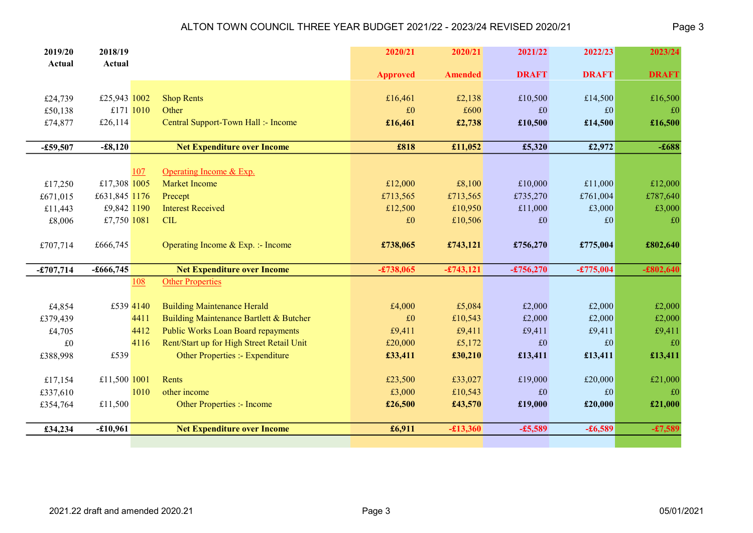| 2019/20     | 2018/19       |      |                                           | 2020/21         | 2020/21        | 2021/22      | 2022/23      | 2023/24      |
|-------------|---------------|------|-------------------------------------------|-----------------|----------------|--------------|--------------|--------------|
| Actual      | Actual        |      |                                           | <b>Approved</b> | <b>Amended</b> | <b>DRAFT</b> | <b>DRAFT</b> | <b>DRAFT</b> |
|             |               |      |                                           |                 |                |              |              |              |
| £24,739     | £25,943 1002  |      | <b>Shop Rents</b>                         | £16,461         | £2,138         | £10,500      | £14,500      | £16,500      |
| £50,138     | £171 1010     |      | Other                                     | £0              | £600           | £0           | £0           | £0           |
| £74,877     | £26,114       |      | Central Support-Town Hall :- Income       | £16,461         | £2,738         | £10,500      | £14,500      | £16,500      |
|             |               |      |                                           |                 |                |              |              |              |
| $-£59,507$  | $-£8,120$     |      | <b>Net Expenditure over Income</b>        | £818            | £11,052        | £5,320       | £2,972       | $-£688$      |
|             |               |      |                                           |                 |                |              |              |              |
|             |               | 107  | Operating Income & Exp.                   |                 |                |              |              |              |
| £17,250     | £17,308 1005  |      | <b>Market Income</b>                      | £12,000         | £8,100         | £10,000      | £11,000      | £12,000      |
| £671,015    | £631,845 1176 |      | Precept                                   | £713,565        | £713,565       | £735,270     | £761,004     | £787,640     |
| £11,443     | £9,842 1190   |      | <b>Interest Received</b>                  | £12,500         | £10,950        | £11,000      | £3,000       | £3,000       |
| £8,006      | £7,750 1081   |      | <b>CIL</b>                                | £0              | £10,506        | £0           | £0           | £0           |
|             |               |      |                                           |                 |                |              |              |              |
| £707,714    | £666,745      |      | Operating Income & Exp. :- Income         | £738,065        | £743,121       | £756,270     | £775,004     | £802,640     |
|             |               |      |                                           |                 |                |              |              |              |
| $-£707,714$ | $-£666,745$   |      | <b>Net Expenditure over Income</b>        | $-£738,065$     | $-£743, 121$   | $-£756,270$  | $-£775,004$  | $-£802,640$  |
|             |               | 108  | <b>Other Properties</b>                   |                 |                |              |              |              |
|             |               |      |                                           |                 |                |              |              |              |
| £4,854      | £539 4140     |      | <b>Building Maintenance Herald</b>        | £4,000          | £5,084         | £2,000       | £2,000       | £2,000       |
| £379,439    |               | 4411 | Building Maintenance Bartlett & Butcher   | £0              | £10,543        | £2,000       | £2,000       | £2,000       |
| £4,705      |               | 4412 | <b>Public Works Loan Board repayments</b> | £9,411          | £9,411         | £9,411       | £9,411       | £9,411       |
| $\pounds 0$ |               | 4116 | Rent/Start up for High Street Retail Unit | £20,000         | £5,172         | £0           | £0           | £0           |
| £388,998    | £539          |      | Other Properties :- Expenditure           | £33,411         | £30,210        | £13,411      | £13,411      | £13,411      |
|             |               |      |                                           |                 |                |              |              |              |
| £17,154     | £11,500 1001  |      | Rents                                     | £23,500         | £33,027        | £19,000      | £20,000      | £21,000      |
| £337,610    |               | 1010 | other income                              | £3,000          | £10,543        | £0           | £0           | £0           |
| £354,764    | £11,500       |      | Other Properties :- Income                | £26,500         | £43,570        | £19,000      | £20,000      | £21,000      |
|             |               |      |                                           |                 |                |              |              |              |
| £34,234     | $-£10,961$    |      | <b>Net Expenditure over Income</b>        | £6,911          | $-£13,360$     | $-£5,589$    | $-£6,589$    | $-£7,589$    |
|             |               |      |                                           |                 |                |              |              |              |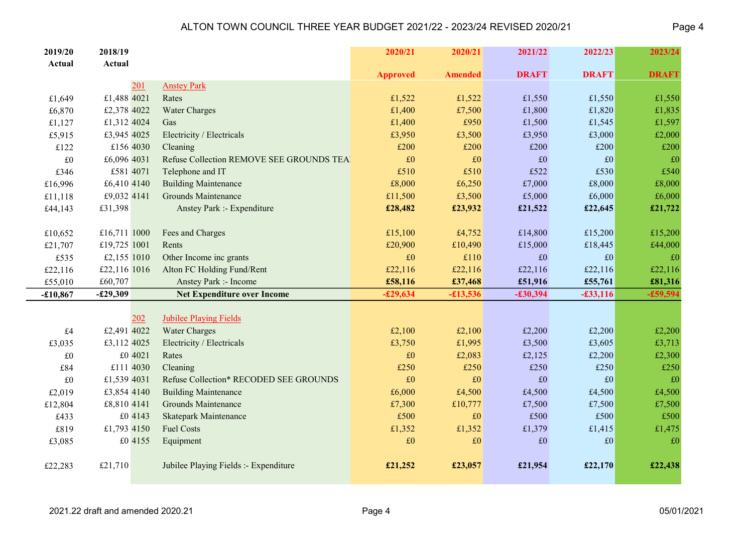| 2019/20     | 2018/19                  |         |                                          | 2020/21         | 2020/21        | 2021/22        | 2022/23      | 2023/24      |
|-------------|--------------------------|---------|------------------------------------------|-----------------|----------------|----------------|--------------|--------------|
| Actual      | Actual                   |         |                                          |                 |                |                |              |              |
|             |                          |         |                                          | <b>Approved</b> | <b>Amended</b> | <b>DRAFT</b>   | <b>DRAFT</b> | <b>DRAFT</b> |
|             |                          | 201     | <b>Anstey Park</b>                       |                 |                |                |              |              |
| £1,649      | £1,488 4021              |         | Rates                                    | £1,522          | £1,522         | £1,550         | £1,550       | £1,550       |
| £6,870      | £2,378 4022              |         | <b>Water Charges</b>                     | £1,400          | £7,500<br>£950 | £1,800         | £1,820       | £1,835       |
| £1,127      | £1,312 4024              |         | Gas                                      | £1,400          |                | £1,500         | £1,545       | £1,597       |
| £5,915      | £3,945 4025<br>£156 4030 |         | Electricity / Electricals                | £3,950<br>£200  | £3,500         | £3,950<br>£200 | £3,000       | £2,000       |
| £122        |                          |         | Cleaning                                 |                 | £200           |                | £200         | £200         |
| $\pounds 0$ | £6,096 4031              |         | Refuse Collection REMOVE SEE GROUNDS TEA | $\pounds 0$     | £0             | $\pounds 0$    | £0           | £0           |
| £346        | £581 4071                |         | Telephone and IT                         | £510            | £510           | £522           | £530         | £540         |
| £16,996     | £6,410 4140              |         | <b>Building Maintenance</b>              | £8,000          | £6,250         | £7,000         | £8,000       | £8,000       |
| £11,118     | £9,032 4141              |         | <b>Grounds Maintenance</b>               | £11,500         | £3,500         | £5,000         | £6,000       | £6,000       |
| £44,143     | £31,398                  |         | Anstey Park :- Expenditure               | £28,482         | £23,932        | £21,522        | £22,645      | £21,722      |
|             |                          |         |                                          |                 |                |                |              |              |
| £10,652     | £16,711 1000             |         | Fees and Charges                         | £15,100         | £4,752         | £14,800        | £15,200      | £15,200      |
| £21,707     | £19,725 1001             |         | Rents                                    | £20,900         | £10,490        | £15,000        | £18,445      | £44,000      |
| £535        | £2,155 1010              |         | Other Income inc grants                  | £0              | £110           | £0             | £0           | £0           |
| £22,116     | £22,116 1016             |         | Alton FC Holding Fund/Rent               | £22,116         | £22,116        | £22,116        | £22,116      | £22,116      |
| £55,010     | £60,707                  |         | Anstey Park :- Income                    | £58,116         | £37,468        | £51,916        | £55,761      | £81,316      |
| $-£10,867$  | $-£29,309$               |         | <b>Net Expenditure over Income</b>       | $-£29,634$      | $-£13,536$     | $-£30,394$     | $-£33,116$   | $-£59,594$   |
|             |                          | 202     | <b>Jubilee Playing Fields</b>            |                 |                |                |              |              |
| £4          | £2,491 4022              |         | <b>Water Charges</b>                     | £2,100          | £2,100         | £2,200         | £2,200       | £2,200       |
| £3,035      | £3,112 4025              |         | Electricity / Electricals                | £3,750          | £1,995         | £3,500         | £3,605       | £3,713       |
| $\pounds 0$ |                          | £0 4021 | Rates                                    | $\pounds 0$     | £2,083         | £2,125         | £2,200       | £2,300       |
| £84         | £111 4030                |         | Cleaning                                 | £250            | £250           | £250           | £250         | £250         |
| £0          | £1,539 4031              |         | Refuse Collection* RECODED SEE GROUNDS   | $\pounds 0$     | £0             | £0             | £0           | £0           |
| £2,019      | £3,854 4140              |         | <b>Building Maintenance</b>              | £6,000          | £4,500         | £4,500         | £4,500       | £4,500       |
| £12,804     | £8,810 4141              |         | <b>Grounds Maintenance</b>               | £7,300          | £10,777        | £7,500         | £7,500       | £7,500       |
| £433        |                          | £0 4143 | <b>Skatepark Maintenance</b>             | £500            | £0             | £500           | £500         | £500         |
| £819        | £1,793 4150              |         | <b>Fuel Costs</b>                        | £1,352          | £1,352         | £1,379         | £1,415       | £1,475       |
| £3,085      |                          | £0 4155 | Equipment                                | $\pounds 0$     | $\pounds 0$    | $\pounds 0$    | £0           | $\pounds 0$  |
|             |                          |         |                                          |                 |                |                |              |              |
| £22,283     | £21,710                  |         | Jubilee Playing Fields :- Expenditure    | £21,252         | £23,057        | £21,954        | £22,170      | £22,438      |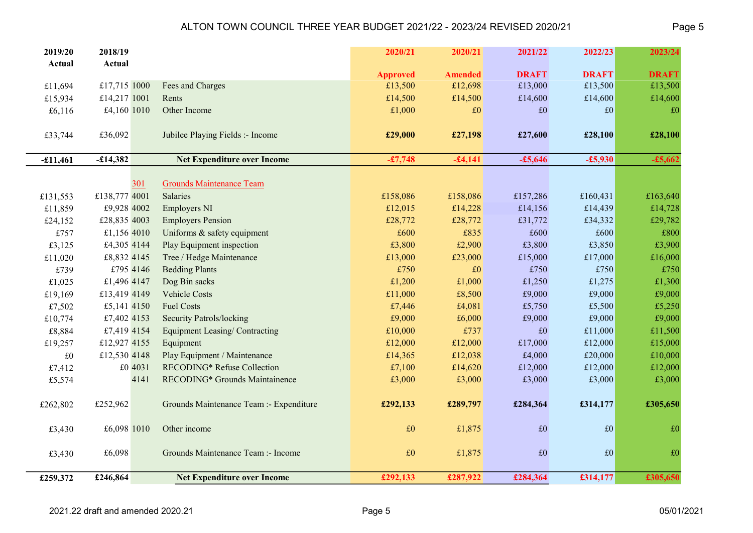| 2019/20<br>Actual | 2018/19<br>Actual |         |                                         | 2020/21         | 2020/21        | 2021/22      | 2022/23      | 2023/24      |
|-------------------|-------------------|---------|-----------------------------------------|-----------------|----------------|--------------|--------------|--------------|
|                   |                   |         |                                         | <b>Approved</b> | <b>Amended</b> | <b>DRAFT</b> | <b>DRAFT</b> | <b>DRAFT</b> |
| £11,694           | £17,715 1000      |         | Fees and Charges                        | £13,500         | £12,698        | £13,000      | £13,500      | £13,500      |
| £15,934           | £14,217 1001      |         | Rents                                   | £14,500         | £14,500        | £14,600      | £14,600      | £14,600      |
| £6,116            | £4,160 1010       |         | Other Income                            | £1,000          | £0             | £0           | £0           | £0           |
|                   |                   |         |                                         |                 |                |              |              |              |
| £33,744           | £36,092           |         | Jubilee Playing Fields :- Income        | £29,000         | £27,198        | £27,600      | £28,100      | £28,100      |
|                   |                   |         |                                         |                 |                |              |              |              |
| $-£11,461$        | $-£14,382$        |         | <b>Net Expenditure over Income</b>      | $-£7,748$       | $-£4,141$      | $-£5,646$    | $-£5,930$    | $-£5,662$    |
|                   |                   |         |                                         |                 |                |              |              |              |
|                   |                   | 301     | <b>Grounds Maintenance Team</b>         |                 |                |              |              |              |
| £131,553          | £138,777 4001     |         | <b>Salaries</b>                         | £158,086        | £158,086       | £157,286     | £160,431     | £163,640     |
| £11,859           | £9,928 4002       |         | <b>Employers NI</b>                     | £12,015         | £14,228        | £14,156      | £14,439      | £14,728      |
| £24,152           | £28,835 4003      |         | <b>Employers Pension</b>                | £28,772         | £28,772        | £31,772      | £34,332      | £29,782      |
| £757              | £1,156 4010       |         | Uniforms & safety equipment             | £600            | £835           | £600         | £600         | £800         |
| £3,125            | £4,305 4144       |         | Play Equipment inspection               | £3,800          | £2,900         | £3,800       | £3,850       | £3,900       |
| £11,020           | £8,832 4145       |         | Tree / Hedge Maintenance                | £13,000         | £23,000        | £15,000      | £17,000      | £16,000      |
| £739              | £795 4146         |         | <b>Bedding Plants</b>                   | £750            | £0             | £750         | £750         | £750         |
| £1,025            | £1,496 4147       |         | Dog Bin sacks                           | £1,200          | £1,000         | £1,250       | £1,275       | £1,300       |
| £19,169           | £13,419 4149      |         | <b>Vehicle Costs</b>                    | £11,000         | £8,500         | £9,000       | £9,000       | £9,000       |
| £7,502            | £5,141 4150       |         | <b>Fuel Costs</b>                       | £7,446          | £4,081         | £5,750       | £5,500       | £5,250       |
| £10,774           | £7,402 4153       |         | <b>Security Patrols/locking</b>         | £9,000          | £6,000         | £9,000       | £9,000       | £9,000       |
| £8,884            | £7,419 4154       |         | <b>Equipment Leasing/Contracting</b>    | £10,000         | £737           | $\pounds 0$  | £11,000      | £11,500      |
| £19,257           | £12,927 4155      |         | Equipment                               | £12,000         | £12,000        | £17,000      | £12,000      | £15,000      |
| $\pounds 0$       | £12,530 4148      |         | Play Equipment / Maintenance            | £14,365         | £12,038        | £4,000       | £20,000      | £10,000      |
| £7,412            |                   | £0 4031 | RECODING* Refuse Collection             | £7,100          | £14,620        | £12,000      | £12,000      | £12,000      |
| £5,574            |                   | 4141    | RECODING* Grounds Maintainence          | £3,000          | £3,000         | £3,000       | £3,000       | £3,000       |
|                   |                   |         |                                         |                 |                |              |              |              |
| £262,802          | £252,962          |         | Grounds Maintenance Team :- Expenditure | £292,133        | £289,797       | £284,364     | £314,177     | £305,650     |
| £3,430            | £6,098 1010       |         | Other income                            | $\pounds 0$     | £1,875         | $\pounds 0$  | £0           | £0           |
|                   |                   |         |                                         |                 |                |              |              |              |
| £3,430            | £6,098            |         | Grounds Maintenance Team :- Income      | $\pounds 0$     | £1,875         | £0           | E0           | £0           |
|                   |                   |         |                                         |                 |                |              |              |              |
| £259,372          | £246,864          |         | <b>Net Expenditure over Income</b>      | £292,133        | £287,922       | £284,364     | £314,177     | £305,650     |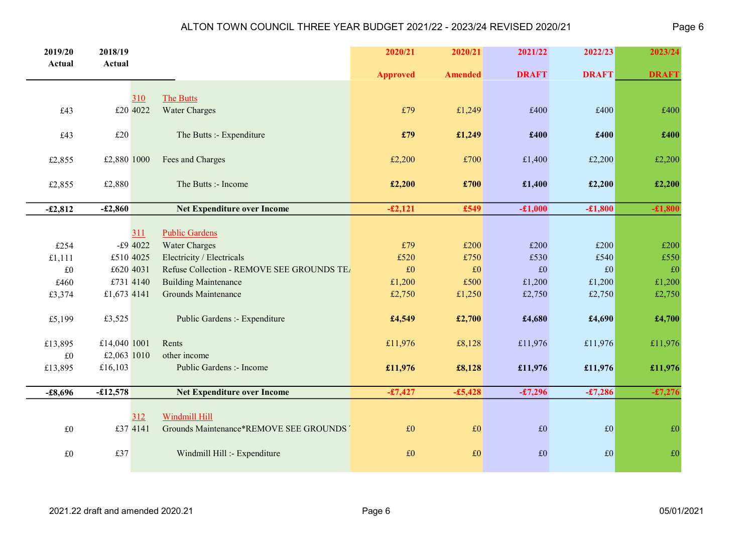| 2019/20     | 2018/19      |     |                                            | 2020/21         | 2020/21        | 2021/22      | 2022/23      | 2023/24      |
|-------------|--------------|-----|--------------------------------------------|-----------------|----------------|--------------|--------------|--------------|
| Actual      | Actual       |     |                                            | <b>Approved</b> | <b>Amended</b> | <b>DRAFT</b> | <b>DRAFT</b> | <b>DRAFT</b> |
|             |              |     |                                            |                 |                |              |              |              |
|             |              | 310 | The Butts                                  |                 |                |              |              |              |
| £43         | £20 4022     |     | <b>Water Charges</b>                       | £79             | £1,249         | £400         | £400         | £400         |
| £43         | £20          |     | The Butts :- Expenditure                   | £79             | £1,249         | £400         | £400         | £400         |
| £2,855      | £2,880 1000  |     | Fees and Charges                           | £2,200          | £700           | £1,400       | £2,200       | £2,200       |
| £2,855      | £2,880       |     | The Butts :- Income                        | £2,200          | £700           | £1,400       | £2,200       | £2,200       |
|             |              |     |                                            |                 |                |              |              |              |
| $-£2,812$   | $-£2,860$    |     | <b>Net Expenditure over Income</b>         | $-£2,121$       | £549           | $-£1,000$    | $-£1,800$    | $-£1,800$    |
|             |              | 311 | <b>Public Gardens</b>                      |                 |                |              |              |              |
| £254        | $-£9$ 4022   |     | <b>Water Charges</b>                       | £79             | £200           | £200         | £200         | £200         |
| £1,111      | £510 4025    |     | Electricity / Electricals                  | £520            | £750           | £530         | £540         | £550         |
| $\pounds 0$ | £620 4031    |     | Refuse Collection - REMOVE SEE GROUNDS TEA | $\pounds 0$     | $\pounds 0$    | £0           | $\pounds 0$  | £0           |
| £460        | £731 4140    |     | <b>Building Maintenance</b>                | £1,200          | £500           | £1,200       | £1,200       | £1,200       |
| £3,374      | £1,673 4141  |     | Grounds Maintenance                        | £2,750          | £1,250         | £2,750       | £2,750       | £2,750       |
|             |              |     |                                            |                 |                |              |              |              |
| £5,199      | £3,525       |     | Public Gardens :- Expenditure              | £4,549          | £2,700         | £4,680       | £4,690       | £4,700       |
| £13,895     | £14,040 1001 |     | Rents                                      | £11,976         | £8,128         | £11,976      | £11,976      | £11,976      |
| $\pounds 0$ | £2,063 1010  |     | other income                               |                 |                |              |              |              |
| £13,895     | £16,103      |     | Public Gardens :- Income                   | £11,976         | £8,128         | £11,976      | £11,976      | £11,976      |
|             |              |     |                                            |                 |                |              |              |              |
| $-£8,696$   | $-£12,578$   |     | <b>Net Expenditure over Income</b>         | $-£7,427$       | $-£5,428$      | $-£7,296$    | $-£7,286$    | $-£7,276$    |
|             |              | 312 | <b>Windmill Hill</b>                       |                 |                |              |              |              |
| $\pounds 0$ | £37 4141     |     | Grounds Maintenance*REMOVE SEE GROUNDS'    | $\pounds 0$     | $\pounds 0$    | £0           | £0           | £0           |
|             |              |     |                                            |                 |                |              |              |              |
| $\pounds 0$ | £37          |     | Windmill Hill :- Expenditure               | $\pounds 0$     | $\pounds 0$    | $\pounds 0$  | $\pounds 0$  | $\pounds 0$  |
|             |              |     |                                            |                 |                |              |              |              |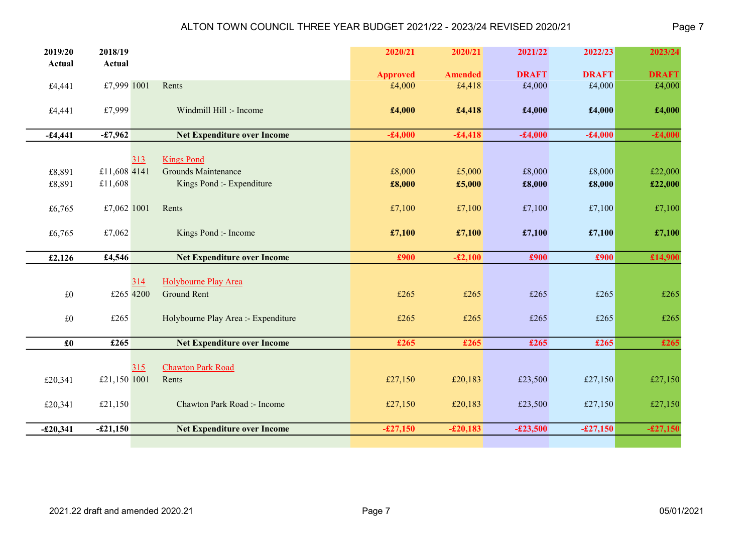| 2019/20<br>Actual | 2018/19<br>Actual |     |                                     | 2020/21         | 2020/21        | 2021/22      | 2022/23      | 2023/24      |
|-------------------|-------------------|-----|-------------------------------------|-----------------|----------------|--------------|--------------|--------------|
|                   |                   |     |                                     | <b>Approved</b> | <b>Amended</b> | <b>DRAFT</b> | <b>DRAFT</b> | <b>DRAFT</b> |
| £4,441            | £7,999 1001       |     | Rents                               | £4,000          | £4,418         | £4,000       | £4,000       | £4,000       |
| £4,441            | £7,999            |     | Windmill Hill :- Income             | £4,000          | £4,418         | £4,000       | £4,000       | £4,000       |
| $-£4,441$         | $-£7,962$         |     | <b>Net Expenditure over Income</b>  | $-£4,000$       | $-£4,418$      | $-£4,000$    | $-£4,000$    | $-£4,000$    |
|                   |                   | 313 | <b>Kings Pond</b>                   |                 |                |              |              |              |
| £8,891            | £11,608 4141      |     | <b>Grounds Maintenance</b>          | £8,000          | £5,000         | £8,000       | £8,000       | £22,000      |
| £8,891            | £11,608           |     | Kings Pond :- Expenditure           | £8,000          | £5,000         | £8,000       | £8,000       | £22,000      |
| £6,765            | £7,062 1001       |     | Rents                               | £7,100          | £7,100         | £7,100       | £7,100       | £7,100       |
| £6,765            | £7,062            |     | Kings Pond :- Income                | £7,100          | £7,100         | £7,100       | £7,100       | £7,100       |
|                   |                   |     |                                     |                 |                |              |              |              |
|                   | £4,546            |     | <b>Net Expenditure over Income</b>  | £900            | $-£2,100$      | £900         | £900         |              |
| £2,126            |                   |     |                                     |                 |                |              |              | £14,900      |
|                   |                   | 314 | Holybourne Play Area                |                 |                |              |              |              |
| $\pounds 0$       | £265 4200         |     | <b>Ground Rent</b>                  | £265            | £265           | £265         | £265         | £265         |
| £0                | £265              |     | Holybourne Play Area :- Expenditure | £265            | £265           | £265         | £265         | £265         |
| $\pmb{\pounds}$ 0 | £265              |     | <b>Net Expenditure over Income</b>  | £265            | £265           | £265         | £265         | £265         |
|                   |                   | 315 | <b>Chawton Park Road</b>            |                 |                |              |              |              |
| £20,341           | £21,150 1001      |     | Rents                               | £27,150         | £20,183        | £23,500      | £27,150      | £27,150      |
| £20,341           | £21,150           |     | Chawton Park Road :- Income         | £27,150         | £20,183        | £23,500      | £27,150      | £27,150      |
| $-£20,341$        | $-£21,150$        |     | <b>Net Expenditure over Income</b>  | $-£27,150$      | $-£20,183$     | $-£23,500$   | $-£27,150$   | $-£27,150$   |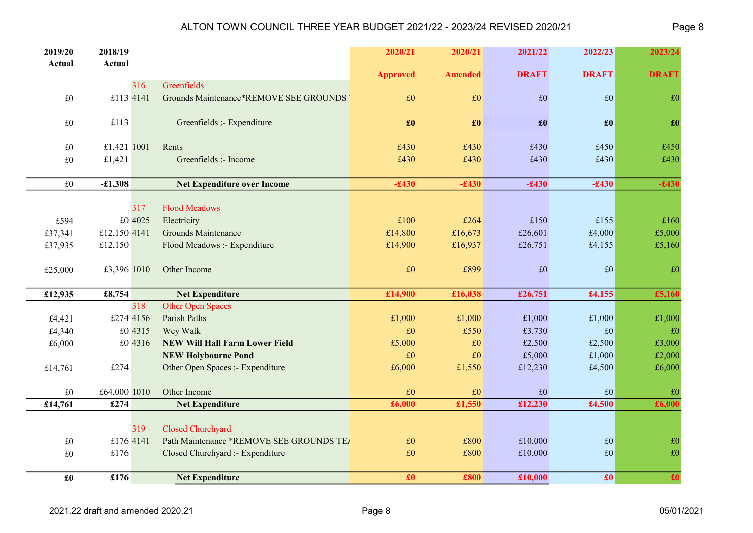| 2019/20             | 2018/19      |           |                                          | 2020/21         | 2020/21         | 2021/22         | 2022/23                 | 2023/24         |
|---------------------|--------------|-----------|------------------------------------------|-----------------|-----------------|-----------------|-------------------------|-----------------|
| Actual              | Actual       |           |                                          | <b>Approved</b> | <b>Amended</b>  | <b>DRAFT</b>    | <b>DRAFT</b>            | <b>DRAFT</b>    |
|                     |              | 316       | Greenfields                              |                 |                 |                 |                         |                 |
| $\pounds 0$         | £113 4141    |           | Grounds Maintenance*REMOVE SEE GROUNDS   | £0              | £0              | $\pounds 0$     | f(0)                    | £0              |
| $\pounds 0$         | £113         |           | Greenfields :- Expenditure               | £0              | $\pmb{\pounds}$ | $\pmb{\pounds}$ | $\pmb{\pmb{\pmb{\pm}}}$ | £0              |
| $\pounds 0$         | £1,421 1001  |           | Rents                                    | £430            | £430            | £430            | £450                    | £450            |
| $\pounds 0$         | £1,421       |           | Greenfields :- Income                    | £430            | £430            | £430            | £430                    | £430            |
|                     |              |           |                                          |                 |                 |                 |                         |                 |
| $\pounds 0$         | $-£1,308$    |           | <b>Net Expenditure over Income</b>       | $-£430$         | $-£430$         | $-£430$         | $-£430$                 | $-£430$         |
|                     |              | 317       | <b>Flood Meadows</b>                     |                 |                 |                 |                         |                 |
| £594                |              | £0 4025   | Electricity                              | £100            | £264            | £150            | £155                    | £160            |
| £37,341             | £12,150 4141 |           | <b>Grounds Maintenance</b>               | £14,800         | £16,673         | £26,601         | £4,000                  | £5,000          |
| £37,935             | £12,150      |           | Flood Meadows :- Expenditure             | £14,900         | £16,937         | £26,751         | £4,155                  | £5,160          |
|                     |              |           |                                          |                 |                 |                 |                         |                 |
| £25,000             | £3,396 1010  |           | Other Income                             | £0              | £899            | £0              | $\vert$ £0              | £0              |
|                     |              |           |                                          |                 |                 |                 |                         |                 |
| £12,935             | £8,754       |           | <b>Net Expenditure</b>                   | £14,900         | £16,038         | £26,751         | £4,155                  | £5,160          |
|                     |              | 318       | <b>Other Open Spaces</b>                 |                 |                 |                 |                         |                 |
| £4,421              |              | £274 4156 | Parish Paths                             | £1,000          | £1,000          | £1,000          | £1,000                  | £1,000          |
| £4,340              |              | £0 4315   | Wey Walk                                 | £0              | £550            | £3,730          | $\pounds$ 0             | £0              |
| £6,000              |              | £0 4316   | <b>NEW Will Hall Farm Lower Field</b>    | £5,000          | $\pounds 0$     | £2,500          | £2,500                  | £3,000          |
|                     |              |           | <b>NEW Holybourne Pond</b>               | £0              | $\pounds 0$     | £5,000          | £1,000                  | £2,000          |
| £14,761             | £274         |           | Other Open Spaces :- Expenditure         | £6,000          | £1,550          | £12,230         | £4,500                  | £6,000          |
| $\pounds 0$         | £64,000 1010 |           | Other Income                             | $\pounds 0$     | $\pounds 0$     | £0              | E0                      | £0              |
| £14,761             | £274         |           | <b>Net Expenditure</b>                   | £6,000          | £1,550          | £12,230         | £4,500                  | £6,000          |
|                     |              |           |                                          |                 |                 |                 |                         |                 |
|                     |              | 319       | Closed Churchyard                        |                 |                 |                 |                         |                 |
| $\pounds 0$         | £176 4141    |           | Path Maintenance *REMOVE SEE GROUNDS TEA | $\pounds 0$     | £800            | £10,000         | E0                      | £0              |
| $\pounds 0$         | £176         |           | Closed Churchyard :- Expenditure         | $\pounds 0$     | £800            | £10,000         | $\vert$ £0              | $\pounds 0$     |
|                     |              |           |                                          |                 |                 |                 |                         |                 |
| $\pmb{\pmb{\pm 0}}$ | £176         |           | <b>Net Expenditure</b>                   | $\pmb{\pounds}$ | £800            | £10,000         | $\pmb{\pmb{\pm 0}}$     | $\overline{10}$ |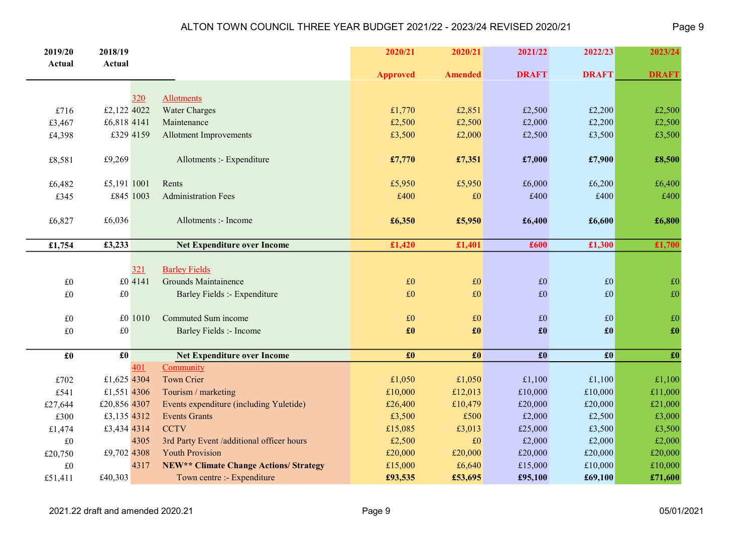| 2019/20           | 2018/19             |            |                                               | 2020/21                   | 2020/21           | 2021/22             | 2022/23                  | 2023/24                   |
|-------------------|---------------------|------------|-----------------------------------------------|---------------------------|-------------------|---------------------|--------------------------|---------------------------|
| <b>Actual</b>     | <b>Actual</b>       |            |                                               |                           |                   |                     |                          |                           |
|                   |                     |            |                                               | <b>Approved</b>           | <b>Amended</b>    | <b>DRAFT</b>        | <b>DRAFT</b>             | <b>DRAFT</b>              |
|                   |                     |            |                                               |                           |                   |                     |                          |                           |
|                   |                     | <u>320</u> | <b>Allotments</b>                             |                           |                   |                     |                          |                           |
| £716              | £2,122 4022         |            | <b>Water Charges</b>                          | £1,770                    | £2,851            | £2,500              | £2,200                   | £2,500                    |
| £3,467            | £6,818 4141         |            | Maintenance                                   | £2,500                    | £2,500            | £2,000              | £2,200                   | £2,500                    |
| £4,398            | £329 4159           |            | <b>Allotment Improvements</b>                 | £3,500                    | £2,000            | £2,500              | £3,500                   | £3,500                    |
| £8,581            | £9,269              |            | Allotments :- Expenditure                     | £7,770                    | £7,351            | £7,000              | £7,900                   | £8,500                    |
| £6,482            | £5,191 1001         |            | Rents                                         | £5,950                    | £5,950            | £6,000              | £6,200                   | £6,400                    |
| £345              | £845 1003           |            | <b>Administration Fees</b>                    | £400                      | $\pounds 0$       | £400                | £400                     | £400                      |
|                   |                     |            |                                               |                           |                   |                     |                          |                           |
| £6,827            | £6,036              |            | Allotments :- Income                          | £6,350                    | £5,950            | £6,400              | £6,600                   | £6,800                    |
|                   |                     |            |                                               |                           |                   |                     |                          |                           |
| £1,754            | £3,233              |            | <b>Net Expenditure over Income</b>            | £1,420                    | £1,401            | £600                | £1,300                   | £1,700                    |
|                   |                     |            |                                               |                           |                   |                     |                          |                           |
|                   |                     | 321        | <b>Barley Fields</b>                          |                           |                   |                     |                          |                           |
| $\pounds 0$       |                     | £0 4141    | Grounds Maintainence                          | £0                        | £0                | $\pounds 0$         | E0                       | $\pounds 0$               |
| $\pounds 0$       | $\pounds 0$         |            | Barley Fields :- Expenditure                  | £0                        | $\pounds 0$       | £0                  | $\pounds 0$              | $\pounds 0$               |
|                   |                     |            |                                               |                           |                   |                     |                          |                           |
| $\pounds 0$       |                     | £0 1010    | Commuted Sum income                           | £0                        | $\pounds 0$       | £0                  | $\pounds 0$              | $\pounds 0$               |
| $\pounds 0$       | $\pounds 0$         |            | <b>Barley Fields :- Income</b>                | $\pmb{\pmb{\pmb{\pm 0}}}$ | $\pmb{\pounds}$   | $\pmb{\pounds}$     | $\pmb{\pmb{\pm 0}}$      | $\pmb{\pmb{\pmb{\pm 0}}}$ |
|                   |                     |            |                                               |                           |                   |                     |                          |                           |
| $\pmb{\pounds}$ 0 | $\pmb{\pmb{\pm 0}}$ |            | <b>Net Expenditure over Income</b>            | £0                        | $\pmb{\pounds}$ 0 | $\pmb{\pmb{\pm 0}}$ | $\boldsymbol{\pounds}$ 0 | $\pmb{\pounds}$           |
|                   |                     | 401        | Community                                     |                           |                   |                     |                          |                           |
| £702              | £1,625 4304         |            | <b>Town Crier</b>                             | £1,050                    | £1,050            | £1,100              | £1,100                   | £1,100                    |
| £541              | £1,551 4306         |            | Tourism / marketing                           | £10,000                   | £12,013           | £10,000             | £10,000                  | £11,000                   |
| £27,644           | £20,856 4307        |            | Events expenditure (including Yuletide)       | £26,400                   | £10,479           | £20,000             | £20,000                  | £21,000                   |
| £300              | £3,135 4312         |            | <b>Events Grants</b>                          | £3,500                    | £500              | £2,000              | £2,500                   | £3,000                    |
| £1,474            | £3,434 4314         |            | <b>CCTV</b>                                   | £15,085                   | £3,013            | £25,000             | £3,500                   | £3,500                    |
| $\pounds 0$       |                     | 4305       | 3rd Party Event /additional officer hours     | £2,500                    | £0                | £2,000              | £2,000                   | £2,000                    |
| £20,750           | £9,702 4308         |            | <b>Youth Provision</b>                        | £20,000                   | £20,000           | £20,000             | £20,000                  | £20,000                   |
| $\pounds 0$       |                     | 4317       | <b>NEW** Climate Change Actions/ Strategy</b> | £15,000                   | £6,640            | £15,000             | £10,000                  | £10,000                   |
| £51,411           | £40,303             |            | Town centre :- Expenditure                    | £93,535                   | £53,695           | £95,100             | £69,100                  | £71,600                   |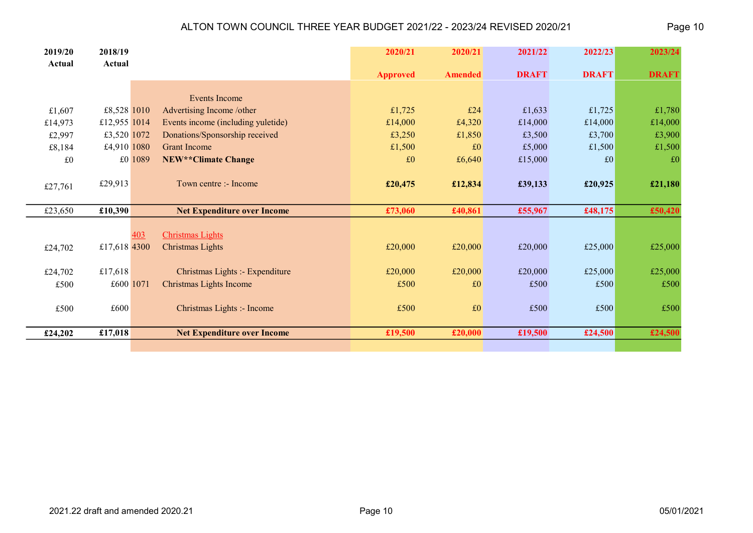| 2019/20<br>Actual | 2018/19<br>Actual |                                       | 2020/21         | 2020/21        | 2021/22      | 2022/23      | 2023/24      |
|-------------------|-------------------|---------------------------------------|-----------------|----------------|--------------|--------------|--------------|
|                   |                   |                                       | <b>Approved</b> | <b>Amended</b> | <b>DRAFT</b> | <b>DRAFT</b> | <b>DRAFT</b> |
|                   |                   |                                       |                 |                |              |              |              |
|                   |                   | Events Income                         |                 |                |              |              |              |
| £1,607            | £8,528 1010       | Advertising Income /other             | £1,725          | £24            | £1,633       | £1,725       | £1,780       |
| £14,973           | £12,955 1014      | Events income (including yuletide)    | £14,000         | £4,320         | £14,000      | £14,000      | £14,000      |
| £2,997            | £3,520 1072       | Donations/Sponsorship received        | £3,250          | £1,850         | £3,500       | £3,700       | £3,900       |
| £8,184            | £4,910 1080       | <b>Grant Income</b>                   | £1,500          | £0             | £5,000       | £1,500       | £1,500       |
| £0                |                   | £0 1089<br><b>NEW**Climate Change</b> | £0              | £6,640         | £15,000      | £0           | £0           |
|                   |                   |                                       |                 |                |              |              |              |
| £27,761           | £29,913           | Town centre :- Income                 | £20,475         | £12,834        | £39,133      | £20,925      | £21,180      |
|                   |                   |                                       |                 |                |              |              |              |
| £23,650           | £10,390           | <b>Net Expenditure over Income</b>    | £73,060         | £40,861        | £55,967      | £48,175      | £50,420      |
|                   |                   |                                       |                 |                |              |              |              |
|                   |                   | <b>Christmas Lights</b><br>403        |                 |                |              |              |              |
| £24,702           | £17,618 4300      | Christmas Lights                      | £20,000         | £20,000        | £20,000      | £25,000      | £25,000      |
|                   |                   |                                       |                 |                |              |              |              |
| £24,702           | £17,618           | Christmas Lights :- Expenditure       | £20,000         | £20,000        | £20,000      | £25,000      | £25,000      |
| £500              | £600 1071         | Christmas Lights Income               | £500            | £0             | £500         | £500         | £500         |
|                   |                   |                                       |                 |                |              |              |              |
| £500              | £600 $\vert$      | Christmas Lights :- Income            | £500            | £0             | £500         | £500         | £500         |
|                   |                   |                                       |                 |                |              |              |              |
| £24,202           | £17,018           | <b>Net Expenditure over Income</b>    | £19,500         | £20,000        | £19,500      | £24,500      | £24,500      |
|                   |                   |                                       |                 |                |              |              |              |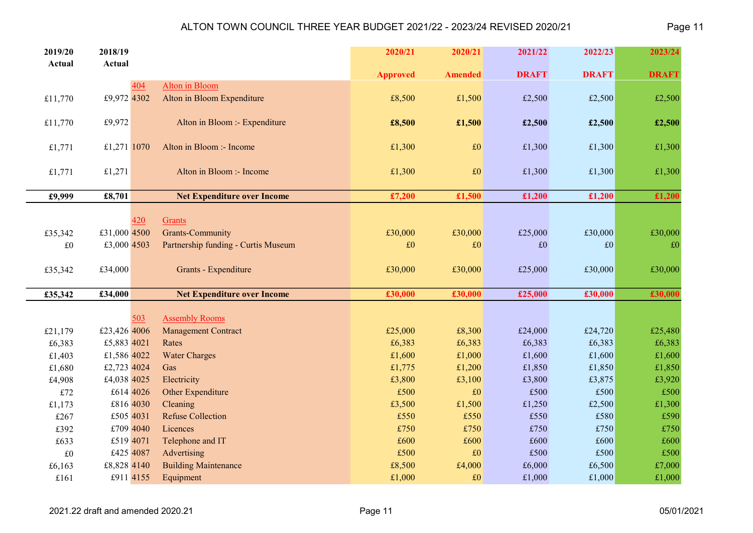| 2019/20       | 2018/19      |                              |                                     | 2020/21         | 2020/21        | 2021/22      | 2022/23      | 2023/24      |
|---------------|--------------|------------------------------|-------------------------------------|-----------------|----------------|--------------|--------------|--------------|
| <b>Actual</b> | Actual       |                              |                                     |                 |                |              |              |              |
|               |              | 404                          |                                     | <b>Approved</b> | <b>Amended</b> | <b>DRAFT</b> | <b>DRAFT</b> | <b>DRAFT</b> |
| £11,770       | £9,972 4302  | <b>Alton</b> in Bloom        | Alton in Bloom Expenditure          | £8,500          | £1,500         | £2,500       | £2,500       | £2,500       |
|               |              |                              |                                     |                 |                |              |              |              |
| £11,770       | £9,972       |                              | Alton in Bloom :- Expenditure       | £8,500          | £1,500         | £2,500       | £2,500       | £2,500       |
| £1,771        | £1,271 1070  | Alton in Bloom :- Income     |                                     | £1,300          | £0             | £1,300       | £1,300       | £1,300       |
| £1,771        | £1,271       |                              | Alton in Bloom :- Income            | £1,300          | $\pounds 0$    | £1,300       | £1,300       | £1,300       |
| £9,999        | £8,701       |                              | <b>Net Expenditure over Income</b>  | £7,200          | £1,500         | £1,200       | £1,200       | £1,200       |
|               |              |                              |                                     |                 |                |              |              |              |
|               |              | 420<br>Grants                |                                     |                 |                |              |              |              |
| £35,342       | £31,000 4500 | <b>Grants-Community</b>      |                                     | £30,000         | £30,000        | £25,000      | £30,000      | £30,000      |
| £0            | £3,000 4503  |                              | Partnership funding - Curtis Museum | £0              | $\pounds 0$    | £0           | £0           | £0           |
| £35,342       | £34,000      |                              | <b>Grants - Expenditure</b>         | £30,000         | £30,000        | £25,000      | £30,000      | £30,000      |
|               |              |                              |                                     |                 |                |              |              |              |
| £35,342       | £34,000      |                              | <b>Net Expenditure over Income</b>  | £30,000         | £30,000        | £25,000      | £30,000      | £30,000      |
|               |              | <b>Assembly Rooms</b><br>503 |                                     |                 |                |              |              |              |
| £21,179       | £23,426 4006 | <b>Management Contract</b>   |                                     | £25,000         | £8,300         | £24,000      | £24,720      | £25,480      |
| £6,383        | £5,883 4021  | Rates                        |                                     | £6,383          | £6,383         | £6,383       | £6,383       | £6,383       |
| £1,403        | £1,586 4022  | <b>Water Charges</b>         |                                     | £1,600          | £1,000         | £1,600       | £1,600       | £1,600       |
| £1,680        | £2,723 4024  | Gas                          |                                     | £1,775          | £1,200         | £1,850       | £1,850       | £1,850       |
| £4,908        | £4,038 4025  | Electricity                  |                                     | £3,800          | £3,100         | £3,800       | £3,875       | £3,920       |
| $\pounds 72$  | £614 4026    | Other Expenditure            |                                     | £500            | £0             | £500         | £500         | £500         |
| £1,173        | £816 4030    | Cleaning                     |                                     | £3,500          | £1,500         | £1,250       | £2,500       | £1,300       |
| £267          | £505 4031    | <b>Refuse Collection</b>     |                                     | £550            | £550           | £550         | £580         | £590         |
| £392          | £709 4040    | Licences                     |                                     | £750            | £750           | £750         | £750         | £750         |
| £633          | £519 4071    | Telephone and IT             |                                     | £600            | £600           | £600         | £600         | £600         |
| $\pounds 0$   | £425 4087    | Advertising                  |                                     | £500            | £0             | £500         | £500         | £500         |
| £6,163        | £8,828 4140  | <b>Building Maintenance</b>  |                                     | £8,500          | £4,000         | £6,000       | £6,500       | £7,000       |
| £161          | £911 4155    | Equipment                    |                                     | £1,000          | $\pounds 0$    | £1,000       | £1,000       | £1,000       |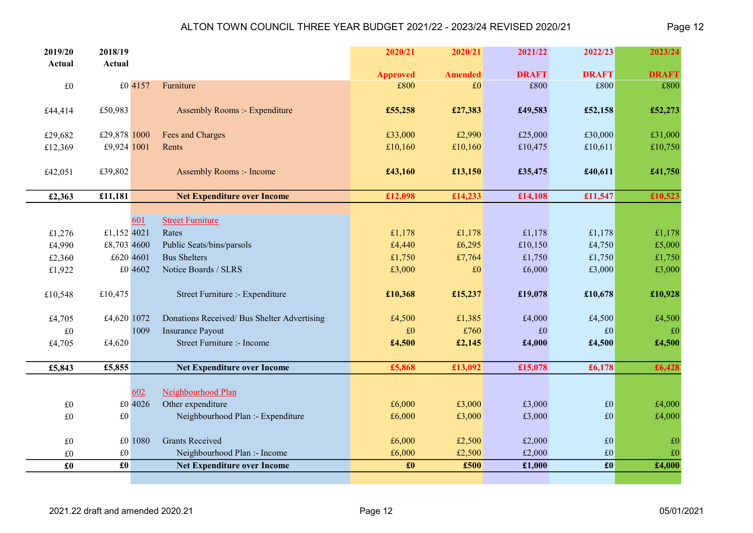| 2019/20                 | 2018/19             |           |                                             | 2020/21         | 2020/21        | 2021/22      | 2022/23                  | 2023/24      |
|-------------------------|---------------------|-----------|---------------------------------------------|-----------------|----------------|--------------|--------------------------|--------------|
| Actual                  | Actual              |           |                                             | <b>Approved</b> | <b>Amended</b> | <b>DRAFT</b> | <b>DRAFT</b>             | <b>DRAFT</b> |
| £0                      |                     | £0 4157   | Furniture                                   | £800            | £0             | £800         | £800                     | £800         |
|                         |                     |           |                                             |                 |                |              |                          |              |
| £44,414                 | £50,983             |           | <b>Assembly Rooms :- Expenditure</b>        | £55,258         | £27,383        | £49,583      | £52,158                  | £52,273      |
|                         |                     |           |                                             |                 |                |              |                          |              |
| £29,682                 | £29,878 1000        |           | Fees and Charges                            | £33,000         | £2,990         | £25,000      | £30,000                  | £31,000      |
| £12,369                 | £9,924 1001         |           | Rents                                       | £10,160         | £10,160        | £10,475      | £10,611                  | £10,750      |
| £42,051                 | £39,802             |           | <b>Assembly Rooms :- Income</b>             | £43,160         | £13,150        | £35,475      | £40,611                  | £41,750      |
|                         |                     |           |                                             |                 |                |              |                          |              |
| £2,363                  | £11,181             |           | <b>Net Expenditure over Income</b>          | £12,098         | £14,233        | £14,108      | £11,547                  | £10,523      |
|                         |                     |           |                                             |                 |                |              |                          |              |
|                         |                     | 601       | <b>Street Furniture</b>                     |                 |                |              |                          |              |
| £1,276                  | £1,152 4021         |           | Rates                                       | £1,178          | £1,178         | £1,178       | £1,178                   | £1,178       |
| £4,990                  | £8,703 4600         |           | Public Seats/bins/parsols                   | £4,440          | £6,295         | £10,150      | £4,750                   | £5,000       |
| £2,360                  |                     | £620 4601 | <b>Bus Shelters</b>                         | £1,750          | £7,764         | £1,750       | £1,750                   | £1,750       |
| £1,922                  |                     | £0 4602   | Notice Boards / SLRS                        | £3,000          | $\pounds 0$    | £6,000       | £3,000                   | £3,000       |
| £10,548                 | £10,475             |           | Street Furniture :- Expenditure             | £10,368         | £15,237        | £19,078      | £10,678                  | £10,928      |
|                         |                     |           |                                             |                 |                |              |                          |              |
| £4,705                  | £4,620 1072         |           | Donations Received/ Bus Shelter Advertising | £4,500          | £1,385         | £4,000       | £4,500                   | £4,500       |
| £0                      |                     | 1009      | <b>Insurance Payout</b>                     | £0              | £760           | £0           | $\pounds$ 0              | £0           |
| £4,705                  | £4,620              |           | Street Furniture :- Income                  | £4,500          | £2,145         | £4,000       | £4,500                   | £4,500       |
|                         |                     |           |                                             |                 |                |              |                          |              |
| £5,843                  | £5,855              |           | <b>Net Expenditure over Income</b>          | £5,868          | £13,092        | £15,078      | £6,178                   | £6,428       |
|                         |                     |           |                                             |                 |                |              |                          |              |
|                         |                     | 602       | Neighbourhood Plan                          |                 |                |              |                          |              |
| $\pounds 0$             |                     | £0 4026   | Other expenditure                           | £6,000          | £3,000         | £3,000       | E0                       | £4,000       |
| $\pounds 0$             | $\pounds 0$         |           | Neighbourhood Plan :- Expenditure           | £6,000          | £3,000         | £3,000       | $\pounds 0$              | £4,000       |
| $\pounds 0$             |                     | £0 1080   | <b>Grants Received</b>                      | £6,000          | £2,500         | £2,000       | f(0)                     | $\pounds 0$  |
| $\pounds 0$             | $\pounds 0$         |           | Neighbourhood Plan :- Income                | £6,000          | £2,500         | £2,000       | f(0)                     | $\pounds 0$  |
| $\pmb{\pmb{\pmb{\pm}}}$ | $\pmb{\pmb{\pm 0}}$ |           | <b>Net Expenditure over Income</b>          | $\pmb{\pounds}$ | £500           | £1,000       | $\mathbf{f}(\mathbf{0})$ | £4,000       |
|                         |                     |           |                                             |                 |                |              |                          |              |